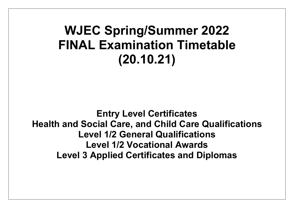# **WJEC Spring/Summer 2022 FINAL Examination Timetable (20.10.21)**

**Entry Level Certificates Health and Social Care, and Child Care Qualifications Level 1/2 General Qualifications Level 1/2 Vocational Awards Level 3 Applied Certificates and Diplomas**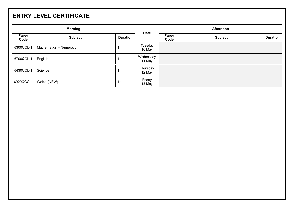# **ENTRY LEVEL CERTIFICATE**

| <b>Morning</b> |                        | <b>Date</b>     | <b>Afternoon</b>    |               |                |                 |
|----------------|------------------------|-----------------|---------------------|---------------|----------------|-----------------|
| Paper<br>Code  | <b>Subject</b>         | <b>Duration</b> |                     | Paper<br>Code | <b>Subject</b> | <b>Duration</b> |
| 6300QCL-1      | Mathematics - Numeracy | 1 <sub>h</sub>  | Tuesday<br>10 May   |               |                |                 |
| 6700QCL-1      | English                | 1 <sub>h</sub>  | Wednesday<br>11 May |               |                |                 |
| 6430QCL-1      | Science                | 1 <sub>h</sub>  | Thursday<br>12 May  |               |                |                 |
| 6020QCC-1      | Welsh (NEW)            | 1 <sub>h</sub>  | Friday<br>13 May    |               |                |                 |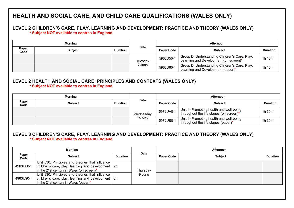# **HEALTH AND SOCIAL CARE, AND CHILD CARE QUALIFICATIONS (WALES ONLY)**

# **LEVEL 2 CHILDREN'S CARE, PLAY, LEARNING AND DEVELOPMENT: PRACTICE AND THEORY (WALES ONLY)**

 **\* Subject NOT available to centres in England**

| Mornina       |                |                 |             |                   | Afternoon                                                                              |                 |  |
|---------------|----------------|-----------------|-------------|-------------------|----------------------------------------------------------------------------------------|-----------------|--|
| Paper<br>Code | <b>Subject</b> | <b>Duration</b> | <b>Date</b> | <b>Paper Code</b> | <b>Subject</b>                                                                         | <b>Duration</b> |  |
|               |                |                 | Tuesdav     | 5962U50-1         | Group D: Understanding Children's Care, Play,<br>Learning and Development (on screen)* | 1h 15m          |  |
|               |                |                 | 7 June      | 5962U60-1         | Group D: Understanding Children's Care, Play,<br>Learning and Development (paper)*     | 1h 15m          |  |

# **LEVEL 2 HEALTH AND SOCIAL CARE: PRINCIPLES AND CONTEXTS (WALES ONLY)**

 **\* Subject NOT available to centres in England**

| Morning       |                |                 |             | <b>Afternoon</b>  |                                                                                    |                 |  |
|---------------|----------------|-----------------|-------------|-------------------|------------------------------------------------------------------------------------|-----------------|--|
| Paper<br>Code | <b>Subject</b> | <b>Duration</b> | <b>Date</b> | <b>Paper Code</b> | <b>Subject</b>                                                                     | <b>Duration</b> |  |
|               |                |                 | Wednesday   | 5972UA0-1         | Unit 1: Promoting health and well-being<br>throughout the life stages (on screen)* | 1h 30m          |  |
|               |                |                 | 25 May      | 5972UB0-1         | Unit 1: Promoting health and well-being<br>throughout the life stages (paper)*     | 1h 30m          |  |

#### **LEVEL 3 CHILDREN'S CARE, PLAY, LEARNING AND DEVELOPMENT: PRACTICE AND THEORY (WALES ONLY) \* Subject NOT available to centres in England**

|               | <b>Morning</b>                                                                                                                                        |                 |             |                   | Afternoon      |                 |  |
|---------------|-------------------------------------------------------------------------------------------------------------------------------------------------------|-----------------|-------------|-------------------|----------------|-----------------|--|
| Paper<br>Code | <b>Subject</b>                                                                                                                                        | <b>Duration</b> | <b>Date</b> | <b>Paper Code</b> | <b>Subject</b> | <b>Duration</b> |  |
| 4963U80-1     | Unit 330: Principles and theories that influence<br>children's care, play, learning and development   2h<br>in the 21st century in Wales (on screen)* |                 | Thursday    |                   |                |                 |  |
| 4963U90-1     | Unit 330: Principles and theories that influence<br>children's care, play, learning and development 2h<br>in the 21st century in Wales (paper)*       |                 | 9 June      |                   |                |                 |  |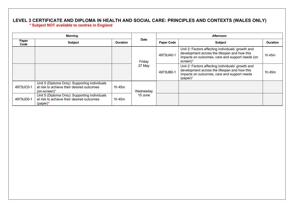# **LEVEL 3 CERTIFICATE AND DIPLOMA IN HEALTH AND SOCIAL CARE: PRINCIPLES AND CONTEXTS (WALES ONLY)**

#### **\* Subject NOT available to centres in England**

|               | <b>Morning</b>                                                                                             |                 |             | Afternoon         |                                                                                                                                                                  |                 |  |
|---------------|------------------------------------------------------------------------------------------------------------|-----------------|-------------|-------------------|------------------------------------------------------------------------------------------------------------------------------------------------------------------|-----------------|--|
| Paper<br>Code | <b>Subject</b>                                                                                             | <b>Duration</b> | <b>Date</b> | <b>Paper Code</b> | <b>Subject</b>                                                                                                                                                   | <b>Duration</b> |  |
|               |                                                                                                            |                 | Friday      | 4973UA0-1         | Unit 2: Factors affecting individuals' growth and<br>development across the lifespan and how this<br>impacts on outcomes, care and support needs (on<br>screen)* | 1h 45m          |  |
|               |                                                                                                            |                 | 27 May      | 4973UB0-1         | Unit 2: Factors affecting individuals' growth and<br>development across the lifespan and how this<br>impacts on outcomes, care and support needs<br>$(paper)^*$  | 1h 45m          |  |
| 4973UC0-1     | Unit 5 (Diploma Only): Supporting individuals<br>at risk to achieve their desired outcomes<br>(on-screen)* | 1h 45m          | Wednesday   |                   |                                                                                                                                                                  |                 |  |
| 4973UD0-1     | Unit 5 (Diploma Only): Supporting individuals<br>at risk to achieve their desired outcomes<br>$(paper)^*$  | 1h 45m          | 15 June     |                   |                                                                                                                                                                  |                 |  |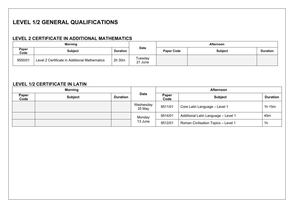# **LEVEL 1/2 GENERAL QUALIFICATIONS**

# **LEVEL 2 CERTIFICATE IN ADDITIONAL MATHEMATICS**

| <b>Morning</b> |                                               |                 |                    | <b>Afternoon</b>  |                |                 |  |
|----------------|-----------------------------------------------|-----------------|--------------------|-------------------|----------------|-----------------|--|
| Paper<br>Code  | <b>Subject</b>                                | <b>Duration</b> | <b>Date</b>        | <b>Paper Code</b> | <b>Subject</b> | <b>Duration</b> |  |
| 9550/01        | Level 2 Certificate in Additional Mathematics | 2h 30m          | Tuesday<br>21 June |                   |                |                 |  |

# **LEVEL 1/2 CERTIFICATE IN LATIN**

| <b>Morning</b> |                |                 |                     | <b>Afternoon</b> |                                            |                 |  |
|----------------|----------------|-----------------|---------------------|------------------|--------------------------------------------|-----------------|--|
| Paper<br>Code  | <b>Subject</b> | <b>Duration</b> | <b>Date</b>         | Paper<br>Code    | <b>Subject</b>                             | <b>Duration</b> |  |
|                |                |                 | Wednesday<br>25 May | 9511/01          | Core Latin Language - Level 1              | 1h 15m          |  |
|                |                |                 | Monday              | 9514/01          | Additional Latin Language - Level 1        | 45 <sub>m</sub> |  |
|                |                |                 | 13 June             | 9512/01          | <b>Roman Civilisation Topics - Level 1</b> | 1h              |  |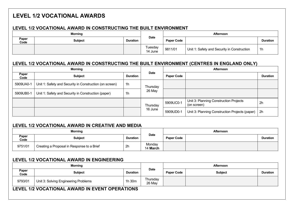# **LEVEL 1/2 VOCATIONAL AWARDS**

## **LEVEL 1/2 VOCATIONAL AWARD IN CONSTRUCTING THE BUILT ENVIRONMENT**

| <b>Morning</b> |                |                 | Afternoon          |                   |                                             |                 |
|----------------|----------------|-----------------|--------------------|-------------------|---------------------------------------------|-----------------|
| Paper<br>Code  | <b>Subject</b> | <b>Duration</b> | <b>Date</b>        | <b>Paper Code</b> |                                             | <b>Duration</b> |
|                |                |                 | Tuesday<br>14 June | 9811/01           | Unit 1: Safety and Security in Construction | 1 <sub>h</sub>  |

# **LEVEL 1/2 VOCATIONAL AWARD IN CONSTRUCTING THE BUILT ENVIRONMENT (CENTRES IN ENGLAND ONLY)**

|               | <b>Morning</b>                                          |                 |             | Afternoon         |                                                       |                 |  |
|---------------|---------------------------------------------------------|-----------------|-------------|-------------------|-------------------------------------------------------|-----------------|--|
| Paper<br>Code | <b>Subject</b>                                          | <b>Duration</b> | <b>Date</b> | <b>Paper Code</b> |                                                       | <b>Duration</b> |  |
| 5909UA0-1     | Unit 1: Safety and Security in Construction (on screen) | 1 <sub>h</sub>  | Thursday    |                   |                                                       |                 |  |
| 5909UB0-1     | Unit 1: Safety and Security in Construction (paper)     | 1h              | 26 May      |                   |                                                       |                 |  |
|               |                                                         |                 | Thursday    | 5909UC0-1         | Unit 3: Planning Construction Projects<br>(on screen) | 2 <sub>h</sub>  |  |
|               |                                                         |                 | 16 June     | 5909UD0-1         | Unit 3: Planning Construction Projects (paper)        | 2 <sub>h</sub>  |  |

## **LEVEL 1/2 VOCATIONAL AWARD IN CREATIVE AND MEDIA**

| <b>Morning</b> |                                            |                 |                           | <b>Afternoon</b>  |  |                 |
|----------------|--------------------------------------------|-----------------|---------------------------|-------------------|--|-----------------|
| Paper<br>Code  | <b>Subject</b>                             | <b>Duration</b> | <b>Date</b>               | <b>Paper Code</b> |  | <b>Duration</b> |
| 9751/01        | Creating a Proposal in Response to a Brief | 2 <sub>h</sub>  | Monday<br>14 <b>March</b> |                   |  |                 |

## **LEVEL 1/2 VOCATIONAL AWARD IN ENGINEERING**

| <b>Morning</b> |                                      |                 |                    | Afternoon         |                |                 |
|----------------|--------------------------------------|-----------------|--------------------|-------------------|----------------|-----------------|
| Paper<br>Code  | <b>Subject</b>                       | <b>Duration</b> | <b>Date</b>        | <b>Paper Code</b> | <b>Subject</b> | <b>Duration</b> |
| 9793/01        | Unit 3: Solving Engineering Problems | 1h 30m          | Thursday<br>26 May |                   |                |                 |

#### **LEVEL 1/2 VOCATIONAL AWARD IN EVENT OPERATIONS**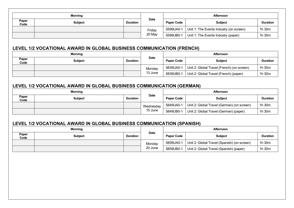| Paper<br>Code<br>Paper<br>Code                                       | <b>Subject</b><br>LEVEL 1/2 VOCATIONAL AWARD IN GLOBAL BUSINESS COMMUNICATION (FRENCH)<br><b>Morning</b><br><b>Subject</b> | <b>Duration</b><br><b>Duration</b> | <b>Date</b><br>Friday<br>20 May<br><b>Date</b><br>Monday | <b>Paper Code</b><br>5599UA0-1<br>5599UB0-1<br><b>Paper Code</b> | <b>Subject</b><br>Unit 1: The Events Industry (on screen)<br>Unit 1: The Events Industry (paper)<br>Afternoon<br><b>Subject</b> | <b>Duration</b><br>1h 30m<br>1h 30m |
|----------------------------------------------------------------------|----------------------------------------------------------------------------------------------------------------------------|------------------------------------|----------------------------------------------------------|------------------------------------------------------------------|---------------------------------------------------------------------------------------------------------------------------------|-------------------------------------|
| LEVEL 1/2 VOCATIONAL AWARD IN GLOBAL BUSINESS COMMUNICATION (GERMAN) |                                                                                                                            |                                    |                                                          |                                                                  |                                                                                                                                 |                                     |
|                                                                      |                                                                                                                            |                                    |                                                          |                                                                  |                                                                                                                                 |                                     |
|                                                                      |                                                                                                                            |                                    |                                                          |                                                                  |                                                                                                                                 |                                     |
|                                                                      |                                                                                                                            |                                    |                                                          |                                                                  |                                                                                                                                 |                                     |
|                                                                      |                                                                                                                            |                                    |                                                          |                                                                  |                                                                                                                                 |                                     |
|                                                                      |                                                                                                                            |                                    |                                                          |                                                                  |                                                                                                                                 | <b>Duration</b>                     |
|                                                                      |                                                                                                                            |                                    |                                                          | 5839UA0-1                                                        | Unit 2: Global Travel (French) (on screen)                                                                                      | 1h 30m                              |
|                                                                      |                                                                                                                            |                                    | 13 June                                                  | 5839UB0-1                                                        | Unit 2: Global Travel (French) (paper)                                                                                          | 1h 30m                              |
| Paper                                                                | <b>Subject</b>                                                                                                             | <b>Duration</b>                    | <b>Date</b>                                              | <b>Paper Code</b>                                                | <b>Subject</b>                                                                                                                  | <b>Duration</b>                     |
| Code                                                                 |                                                                                                                            |                                    | Wednesday                                                | 5849UA0-1                                                        | Unit 2: Global Travel (German) (on screen)                                                                                      | 1h 30m                              |
|                                                                      |                                                                                                                            |                                    | 15 June                                                  | 5849UB0-1                                                        | Unit 2: Global Travel (German) (paper)                                                                                          | 1h 30m                              |
|                                                                      | LEVEL 1/2 VOCATIONAL AWARD IN GLOBAL BUSINESS COMMUNICATION (SPANISH)<br><b>Morning</b>                                    |                                    |                                                          |                                                                  | Afternoon                                                                                                                       |                                     |
| Paper                                                                | <b>Subject</b>                                                                                                             | <b>Duration</b>                    | <b>Date</b>                                              | <b>Paper Code</b>                                                | <b>Subject</b>                                                                                                                  | <b>Duration</b>                     |
| Code                                                                 |                                                                                                                            |                                    | Monday                                                   | 5859UA0-1                                                        | Unit 2: Global Travel (Spanish) (on screen)                                                                                     | 1h 30m                              |
|                                                                      |                                                                                                                            |                                    | 20 June                                                  | 5859UB0-1                                                        | Unit 2: Global Travel (Spanish) (paper)                                                                                         | 1h 30m                              |
|                                                                      |                                                                                                                            |                                    |                                                          |                                                                  |                                                                                                                                 |                                     |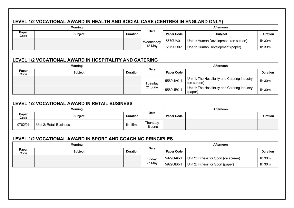# **LEVEL 1/2 VOCATIONAL AWARD IN HEALTH AND SOCIAL CARE (CENTRES IN ENGLAND ONLY)**

| <b>Morning</b> |                |                 | <b>Afternoon</b> |                   |                                       |                 |
|----------------|----------------|-----------------|------------------|-------------------|---------------------------------------|-----------------|
| Paper<br>Code  | <b>Subject</b> | <b>Duration</b> | Date             | <b>Paper Code</b> | <b>Subject</b>                        | <b>Duration</b> |
|                |                |                 | Wednesday        | 5579UA0-1         | Unit 1: Human Development (on screen) | 1h 30m          |
|                |                |                 | 18 May           | 5579UB0-1         | Unit 1: Human Development (paper)     | 1h 30m          |

#### **LEVEL 1/2 VOCATIONAL AWARD IN HOSPITALITY AND CATERING**

| <b>Morning</b> |                |                 | Afternoon   |                   |                                                              |                 |
|----------------|----------------|-----------------|-------------|-------------------|--------------------------------------------------------------|-----------------|
| Paper<br>Code  | <b>Subject</b> | <b>Duration</b> | <b>Date</b> | <b>Paper Code</b> |                                                              | <b>Duration</b> |
|                |                |                 | Tuesday     | 5569UA0-1         | Unit 1: The Hospitality and Catering Industry<br>(on screen) | 1h 30m          |
|                |                |                 | 21 June     | 5569UB0-1         | Unit 1: The Hospitality and Catering Industry<br>(paper)     | 1h 30m          |

#### **LEVEL 1/2 VOCATIONAL AWARD IN RETAIL BUSINESS**

| <b>Morning</b> |                         |                 |                     | <b>Afternoon</b>  |  |                 |
|----------------|-------------------------|-----------------|---------------------|-------------------|--|-----------------|
| Paper<br>Code  | <b>Subject</b>          | <b>Duration</b> | <b>Date</b>         | <b>Paper Code</b> |  | <b>Duration</b> |
| 9782/01        | Unit 2: Retail Business | 1h 15m          | Thursday<br>16 June |                   |  |                 |

#### **LEVEL 1/2 VOCATIONAL AWARD IN SPORT AND COACHING PRINCIPLES**

| <b>Morning</b> |         |                 | Afternoon   |                   |                                       |                 |
|----------------|---------|-----------------|-------------|-------------------|---------------------------------------|-----------------|
| Paper<br>Code  | Subject | <b>Duration</b> | <b>Date</b> | <b>Paper Code</b> |                                       | <b>Duration</b> |
|                |         |                 | Friday      | 5929UA0-1         | Unit 2: Fitness for Sport (on screen) | 1h 30m          |
|                |         |                 | 27 May      | 5929UB0-1         | Unit 2: Fitness for Sport (paper)     | 1h 30m          |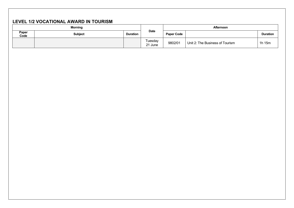# **LEVEL 1/2 VOCATIONAL AWARD IN TOURISM**

|               | <b>Morning</b> |                 |                    | <b>Afternoon</b>  |                                 |                 |
|---------------|----------------|-----------------|--------------------|-------------------|---------------------------------|-----------------|
| Paper<br>Code | <b>Subject</b> | <b>Duration</b> | <b>Date</b>        | <b>Paper Code</b> |                                 | <b>Duration</b> |
|               |                |                 | Tuesday<br>21 June | 9802/01           | Unit 2: The Business of Tourism | 1h 15m          |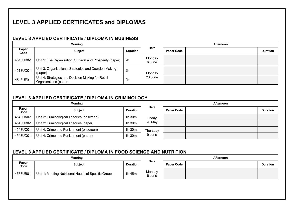# **LEVEL 3 APPLIED CERTIFICATES and DIPLOMAS**

## **LEVEL 3 APPLIED CERTIFICATE / DIPLOMA IN BUSINESS**

|               | <b>Morning</b>                                                             |                 |                  | <b>Afternoon</b>  |  |                 |
|---------------|----------------------------------------------------------------------------|-----------------|------------------|-------------------|--|-----------------|
| Paper<br>Code | <b>Subject</b>                                                             | <b>Duration</b> | Date             | <b>Paper Code</b> |  | <b>Duration</b> |
| 4513UB0-1     | Unit 1: The Organisation: Survival and Prosperity (paper)                  | -2h             | Monday<br>6 June |                   |  |                 |
| 4513UD0-1     | Unit 3: Organisational Strategies and Decision Making<br>(paper)           | 2 <sub>h</sub>  | Monday           |                   |  |                 |
| 4513UF0-1     | Unit 4: Strategies and Decision Making for Retail<br>Organisations (paper) | 2 <sub>h</sub>  | 20 June          |                   |  |                 |

## **LEVEL 3 APPLIED CERTIFICATE / DIPLOMA IN CRIMINOLOGY**

|               | <b>Morning</b>                             |                 |             | Afternoon         |  |                 |
|---------------|--------------------------------------------|-----------------|-------------|-------------------|--|-----------------|
| Paper<br>Code | <b>Subject</b>                             | <b>Duration</b> | <b>Date</b> | <b>Paper Code</b> |  | <b>Duration</b> |
| 4543UA0-1     | Unit 2: Criminological Theories (onscreen) | 1h 30m          | Friday      |                   |  |                 |
| 4543UB0-1     | Unit 2: Criminological Theories (paper)    | 1h 30m          | 20 May      |                   |  |                 |
| 4543UC0-1     | Unit 4: Crime and Punishment (onscreen)    | 1h 30m          | Thursdav    |                   |  |                 |
| 4543UD0-1     | Unit 4: Crime and Punishment (paper)       | 1h 30m          | 9 June      |                   |  |                 |

## **LEVEL 3 APPLIED CERTIFICATE / DIPLOMA IN FOOD SCIENCE AND NUTRITION**

| <b>Morning</b> |                                                      |                 |                  | <b>Afternoon</b>  |  |                 |
|----------------|------------------------------------------------------|-----------------|------------------|-------------------|--|-----------------|
| Paper<br>Code  | <b>Subject</b>                                       | <b>Duration</b> | <b>Date</b>      | <b>Paper Code</b> |  | <b>Duration</b> |
| 4563UB0-1      | Unit 1: Meeting Nutritional Needs of Specific Groups | 1h 45m          | Monday<br>6 June |                   |  |                 |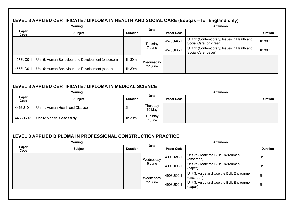# **LEVEL 3 APPLIED CERTIFICATE / DIPLOMA IN HEALTH AND SOCIAL CARE (Eduqas – for England only)**

|               | <b>Morning</b>                                     |                 |             | <b>Afternoon</b>  |                                                                       |                 |
|---------------|----------------------------------------------------|-----------------|-------------|-------------------|-----------------------------------------------------------------------|-----------------|
| Paper<br>Code | <b>Subject</b>                                     | <b>Duration</b> | <b>Date</b> | <b>Paper Code</b> |                                                                       | <b>Duration</b> |
|               |                                                    |                 | Tuesday     | 4573UA0-1         | Unit 1: (Contemporary) Issues in Health and<br>Social Care (onscreen) | 1h 30m          |
|               |                                                    |                 | ' June      | 4573UB0-1         | Unit 1: (Contemporary) Issues in Health and<br>Social Care (paper)    | 1h 30m          |
| 4573UC0-1     | Unit 5: Human Behaviour and Development (onscreen) | 1h 30m          | Wednesday   |                   |                                                                       |                 |
| 4573UD0-1     | Unit 5: Human Behaviour and Development (paper)    | 1h 30m          | 22 June     |                   |                                                                       |                 |

# **LEVEL 3 APPLIED CERTIFICATE / DIPLOMA IN MEDICAL SCIENCE**

| <b>Morning</b> |                                  |                 |                              | Afternoon         |  |                 |
|----------------|----------------------------------|-----------------|------------------------------|-------------------|--|-----------------|
| Paper<br>Code  | <b>Subject</b>                   | <b>Duration</b> | <b>Date</b>                  | <b>Paper Code</b> |  | <b>Duration</b> |
| 4463U10-1      | Unit 1: Human Health and Disease | 2h              | Thursday<br>19 May           |                   |  |                 |
| 4463U60-1      | Unit 6: Medical Case Study       | 1h 30m          | Tuesday<br><sup>7</sup> June |                   |  |                 |

## **LEVEL 3 APPLIED DIPLOMA IN PROFESSIONAL CONSTRUCTION PRACTICE**

|               | <b>Morning</b> |                 |             | Afternoon         |                                                           |                 |
|---------------|----------------|-----------------|-------------|-------------------|-----------------------------------------------------------|-----------------|
| Paper<br>Code | <b>Subject</b> | <b>Duration</b> | <b>Date</b> | <b>Paper Code</b> |                                                           | <b>Duration</b> |
|               |                |                 | Wednesday   | 4903UA0-1         | Unit 2: Create the Built Environment<br>(onscreen)        | 2 <sub>h</sub>  |
|               |                |                 | 8 June      | 4903UB0-1         | Unit 2: Create the Built Environment<br>(paper)           | 2 <sub>h</sub>  |
|               |                |                 | Wednesday   | 4903UC0-1         | Unit 3: Value and Use the Built Environment<br>(onscreen) | 2 <sub>h</sub>  |
|               |                |                 | 22 June     | 4903UD0-1         | Unit 3: Value and Use the Built Environment<br>(paper)    | 2h              |